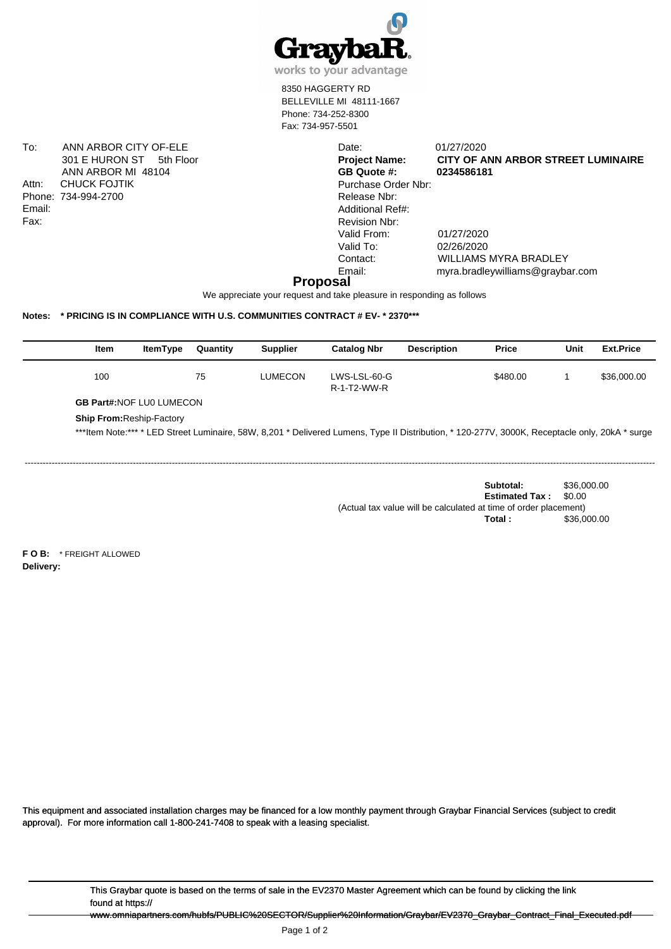

works to your advantage

8350 HAGGERTY RD BELLEVILLE MI 48111-1667 Phone: 734-252-8300 Fax: 734-957-5501

> Date: 01/27/2020<br>**Project Name: CITY OF A CITY OF ANN ARBOR STREET LUMINAIRE**

To: ANN ARBOR CITY OF-ELE 301 E HURON ST 5th Floor ANN ARBOR MI 48104 Attn: CHUCK FOJTIK Phone: 734-994-2700 Email: Fax:

**GB Quote #: 0234586181** Purchase Order Nbr: Release Nbr: Additional Ref#: Revision Nbr: Valid From: 01/27/2020 Valid To: 02/26/2020

Contact: WILLIAMS MYRA BRADLEY Email: myra.bradleywilliams@graybar.com

## **Proposal**

We appreciate your request and take pleasure in responding as follows

## **Notes: \* PRICING IS IN COMPLIANCE WITH U.S. COMMUNITIES CONTRACT # EV- \* 2370\*\*\***

| Item                            | <b>ItemType</b>                  | Quantity | <b>Supplier</b> | <b>Catalog Nbr</b>          | <b>Description</b>                                                                                                                             | <b>Price</b> | Unit | <b>Ext.Price</b> |
|---------------------------------|----------------------------------|----------|-----------------|-----------------------------|------------------------------------------------------------------------------------------------------------------------------------------------|--------------|------|------------------|
| 100                             |                                  | 75       | LUMECON         | LWS-LSL-60-G<br>R-1-T2-WW-R |                                                                                                                                                | \$480.00     |      | \$36,000.00      |
| <b>GB Part#:NOF LU0 LUMECON</b> |                                  |          |                 |                             |                                                                                                                                                |              |      |                  |
|                                 | <b>Ship From: Reship-Factory</b> |          |                 |                             | ***Item Note:*** * LED Street Luminaire, 58W, 8,201 * Delivered Lumens, Type II Distribution, * 120-277V, 3000K, Receptacle only, 20kA * surge |              |      |                  |

------------------------------------------------------------------------------------------------------------------------------------------------------------------------------------------------------------------

**Subtotal:** \$36,000.00 **Estimated Tax :** \$0.00 (Actual tax value will be calculated at time of order placement) **Total :** \$36,000.00

**F O B:** \* FREIGHT ALLOWED **Delivery:**

This equipment and associated installation charges may be financed for a low monthly payment through Graybar Financial Services (subject to credit approval). For more information call 1-800-241-7408 to speak with a leasing specialist.